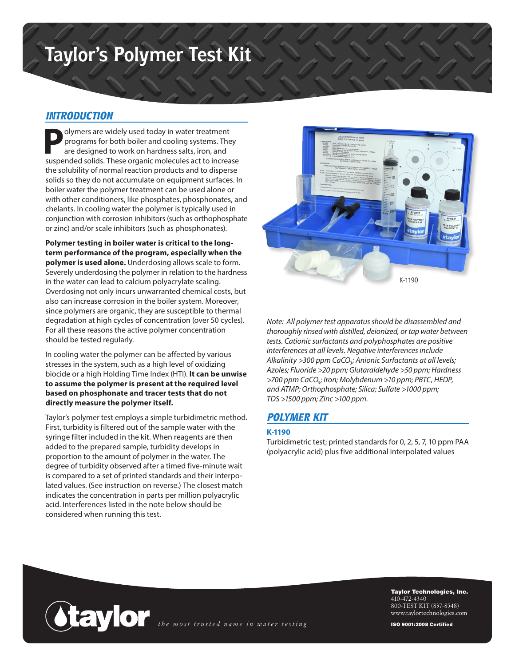# **Taylor's Polymer Test Kit**

#### *INTRODUCTION*

**P**olymers are widely used today in water treatment programs for both boiler and cooling systems. They are designed to work on hardness salts, iron, and suspended solids. These organic molecules act to increase the solubility of normal reaction products and to disperse solids so they do not accumulate on equipment surfaces. In boiler water the polymer treatment can be used alone or with other conditioners, like phosphates, phosphonates, and chelants. In cooling water the polymer is typically used in conjunction with corrosion inhibitors (such as orthophosphate or zinc) and/or scale inhibitors (such as phosphonates).

**Polymer testing in boiler water is critical to the longterm performance of the program, especially when the polymer is used alone.** Underdosing allows scale to form. Severely underdosing the polymer in relation to the hardness in the water can lead to calcium polyacrylate scaling. Overdosing not only incurs unwarranted chemical costs, but also can increase corrosion in the boiler system. Moreover, since polymers are organic, they are susceptible to thermal degradation at high cycles of concentration (over 50 cycles). For all these reasons the active polymer concentration should be tested regularly.

In cooling water the polymer can be affected by various stresses in the system, such as a high level of oxidizing biocide or a high Holding Time Index (HTI). **It can be unwise to assume the polymer is present at the required level based on phosphonate and tracer tests that do not directly measure the polymer itself.**

Taylor's polymer test employs a simple turbidimetric method. First, turbidity is filtered out of the sample water with the syringe filter included in the kit. When reagents are then added to the prepared sample, turbidity develops in proportion to the amount of polymer in the water. The degree of turbidity observed after a timed five-minute wait is compared to a set of printed standards and their interpolated values. (See instruction on reverse.) The closest match indicates the concentration in parts per million polyacrylic acid. Interferences listed in the note below should be considered when running this test.



*Note: All polymer test apparatus should be disassembled and thoroughly rinsed with distilled, deionized, or tap water between tests. Cationic surfactants and polyphosphates are positive interferences at all levels. Negative interferences include*  Alkalinity >300 ppm CaCO<sub>3</sub>; Anionic Surfactants at all levels; *Azoles; Fluoride >20 ppm; Glutaraldehyde >50 ppm; Hardness >700 ppm CaCO3; Iron; Molybdenum >10 ppm; PBTC, HEDP, and ATMP; Orthophosphate; Silica; Sulfate >1000 ppm; TDS >1500 ppm; Zinc >100 ppm.*

### *POLYMER KIT*

#### **K-1190**

Turbidimetric test; printed standards for 0, 2, 5, 7, 10 ppm PAA (polyacrylic acid) plus five additional interpolated values



Taylor Technologies, Inc. 410-472-4340 800-TEST KIT (837-8548) www.taylortechnologies.com

ISO 9001:2008 Certified